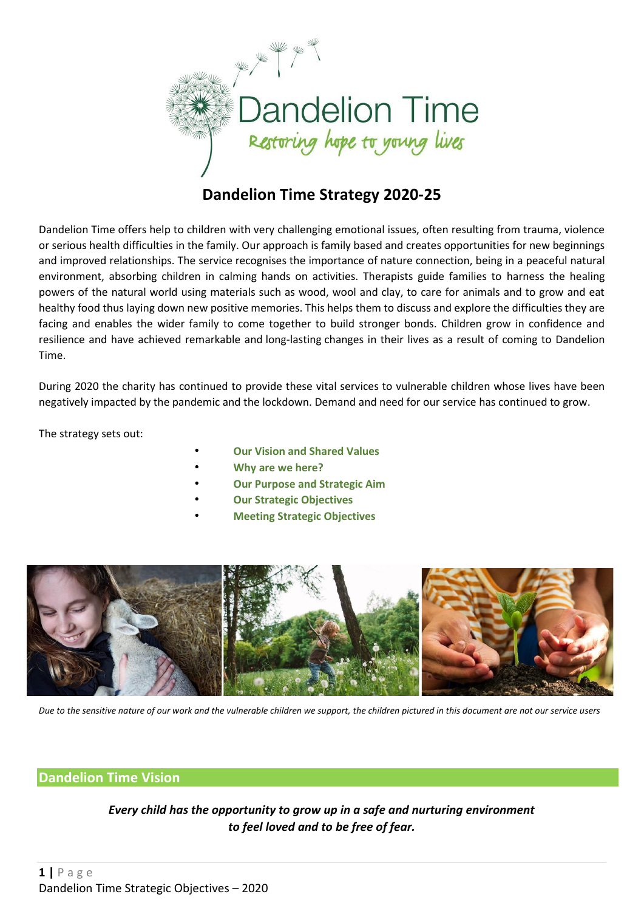

# **Dandelion Time Strategy 2020-25**

Dandelion Time offers help to children with very challenging emotional issues, often resulting from trauma, violence or serious health difficulties in the family. Our approach is family based and creates opportunities for new beginnings and improved relationships. The service recognises the importance of nature connection, being in a peaceful natural environment, absorbing children in calming hands on activities. Therapists guide families to harness the healing powers of the natural world using materials such as wood, wool and clay, to care for animals and to grow and eat healthy food thus laying down new positive memories. This helps them to discuss and explore the difficulties they are facing and enables the wider family to come together to build stronger bonds. Children grow in confidence and resilience and have achieved remarkable and long-lasting changes in their lives as a result of coming to Dandelion Time.

During 2020 the charity has continued to provide these vital services to vulnerable children whose lives have been negatively impacted by the pandemic and the lockdown. Demand and need for our service has continued to grow.

The strategy sets out:

- **Our Vision and Shared Values**
- **Why are we here?**
- **Our Purpose and Strategic Aim**
- **Our Strategic Objectives**
- **Meeting Strategic Objectives**



*Due to the sensitive nature of our work and the vulnerable children we support, the children pictured in this document are not our service users*

### **Dandelion Time Vision**

*Every child has the opportunity to grow up in a safe and nurturing environment to feel loved and to be free of fear.*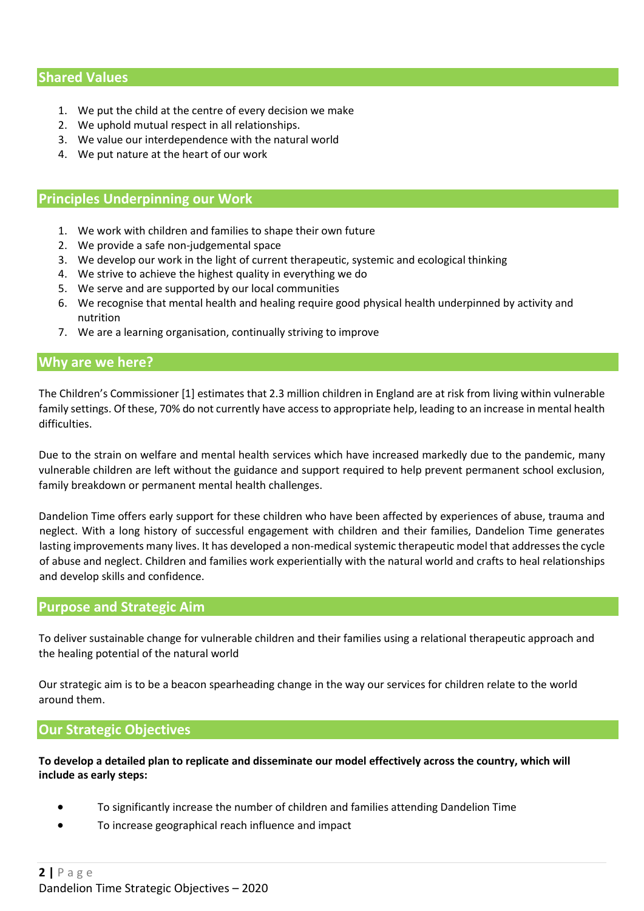## **Shared Values**

- 1. We put the child at the centre of every decision we make
- 2. We uphold mutual respect in all relationships.
- 3. We value our interdependence with the natural world
- 4. We put nature at the heart of our work

#### **Principles Underpinning our Work**

- 1. We work with children and families to shape their own future
- 2. We provide a safe non-judgemental space
- 3. We develop our work in the light of current therapeutic, systemic and ecological thinking
- 4. We strive to achieve the highest quality in everything we do
- 5. We serve and are supported by our local communities
- 6. We recognise that mental health and healing require good physical health underpinned by activity and nutrition
- 7. We are a learning organisation, continually striving to improve

#### **Why are we here?**

The Children's Commissioner [1] estimates that 2.3 million children in England are at risk from living within vulnerable family settings. Of these, 70% do not currently have access to appropriate help, leading to an increase in mental health difficulties.

Due to the strain on welfare and mental health services which have increased markedly due to the pandemic, many vulnerable children are left without the guidance and support required to help prevent permanent school exclusion, family breakdown or permanent mental health challenges.

Dandelion Time offers early support for these children who have been affected by experiences of abuse, trauma and neglect. With a long history of successful engagement with children and their families, Dandelion Time generates lasting improvements many lives. It has developed a non-medical systemic therapeutic model that addresses the cycle of abuse and neglect. Children and families work experientially with the natural world and crafts to heal relationships and develop skills and confidence.

#### **Purpose and Strategic Aim**

To deliver sustainable change for vulnerable children and their families using a relational therapeutic approach and the healing potential of the natural world

Our strategic aim is to be a beacon spearheading change in the way our services for children relate to the world around them.

#### **Our Strategic Objectives**

To develop a detailed plan to replicate and disseminate our model effectively across the country, which will **include as early steps:**

- To significantly increase the number of children and families attending Dandelion Time
- To increase geographical reach influence and impact